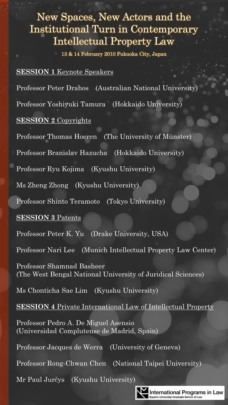# New Spaces, New Actors and the Institutional Turn in Contemporary Intellectual Property Law

13 & 14 February 2010 Fukuoka City, Japan

## **SESSION 1** Keynote Speakers

Professor Peter Drahos (Australian National University)

Professor Yoshiyuki Tamura (Hokkaido University)

## **SESSION 2** Copyrights

Professor Thomas Hoeren (The University of Münster)

Professor Branislav Hazucha (Hokkaido University)

Professor Ryu Kojima (Kyushu University)

Ms Zheng Zhong (Kyushu University)

Professor Shinto Teramoto (Tokyo University)

### **SESSION 3** Patents

Professor Peter K. Yu (Drake University, USA)

Professor Nari Lee (Munich Intellectual Property Law Center)

Professor Shamnad Basheer (The West Bengal National University of Juridical Sciences)

Ms Chonticha Sae Lim (Kyushu University)

**SESSION 4** Private International Law of Intellectual Property

Professor Pedro A. De Miguel Asensio (Universidad Complutense de Madrid, Spain)

Professor Jacques de Werra (University of Geneva)

Professor Rong-Chwan Chen (National Taipei University)

Mr Paul Jurčys (Kyushu University)



**International Programs in Law** sity Graduate School of Lay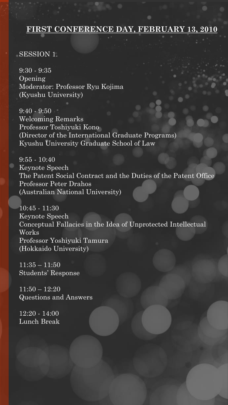# **FIRST CONFERENCE DAY, FEBRUARY 13, 2010**

#### SESSION 1.

9:30 - 9:35 Opening Moderator: Professor Ryu Kojima (Kyushu University)

 $9:40 - 9:50$ Welcoming Remarks Professor Toshiyuki Kono (Director of the International Graduate Programs) Kyushu University Graduate School of Law

9:55 - 10:40 Keynote Speech The Patent Social Contract and the Duties of the Patent Office Professor Peter Drahos (Australian National University)

10:45 - 11:30 Keynote Speech Conceptual Fallacies in the Idea of Unprotected Intellectual Works Professor Yoshiyuki Tamura (Hokkaido University)

 $11:35 - 11:50$ Students' Response

 $11:50 - 12:20$ Questions and Answers

12:20 - 14:00 Lunch Break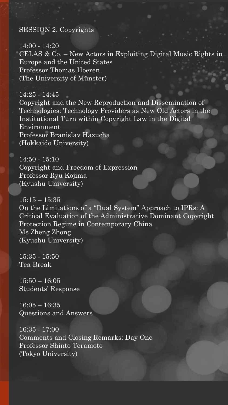#### SESSION 2. Copyrights

14:00 - 14:20 CELAS & Co. – New Actors in Exploiting Digital Music Rights in Europe and the United States Professor Thomas Hoeren (The University of Münster)

 $14:25 - 14:45$ Copyright and the New Reproduction and Dissemination of Technologies: Technology Providers as New Old Actors in the Institutional Turn within Copyright Law in the Digital Environment Professor Branislav Hazucha (Hokkaido University)

14:50 - 15:10 Copyright and Freedom of Expression Professor Ryu Kojima (Kyushu University)

 $15:15 - 15:35$ On the Limitations of a "Dual System" Approach to IPRs: A Critical Evaluation of the Administrative Dominant Copyright Protection Regime in Contemporary China Ms Zheng Zhong (Kyushu University)

15:35 - 15:50 Tea Break

 $15:50 - 16:05$ Students' Response

16:05 – 16:35 Questions and Answers

16:35 - 17:00 Comments and Closing Remarks: Day One Professor Shinto Teramoto (Tokyo University)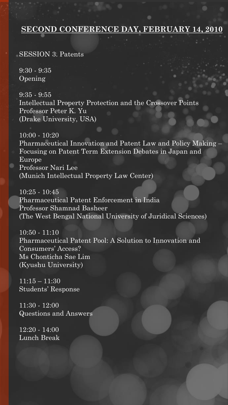# **SECOND CONFERENCE DAY, FEBRUARY 14, 2010**

SESSION 3. Patents

 $9:30 - 9:35$ Opening

9:35 - 9:55 Intellectual Property Protection and the Crossover Points Professor Peter K. Yu (Drake University, USA)

10:00 - 10:20 Pharmaceutical Innovation and Patent Law and Policy Making – Focusing on Patent Term Extension Debates in Japan and Europe Professor Nari Lee (Munich Intellectual Property Law Center)

10:25 - 10:45 Pharmaceutical Patent Enforcement in India Professor Shamnad Basheer (The West Bengal National University of Juridical Sciences)

10:50 - 11:10 Pharmaceutical Patent Pool: A Solution to Innovation and Consumers' Access? Ms Chonticha Sae Lim (Kyushu University)

11:15 – 11:30 Students' Response

11:30 - 12:00 Questions and Answers

12:20 - 14:00 Lunch Break